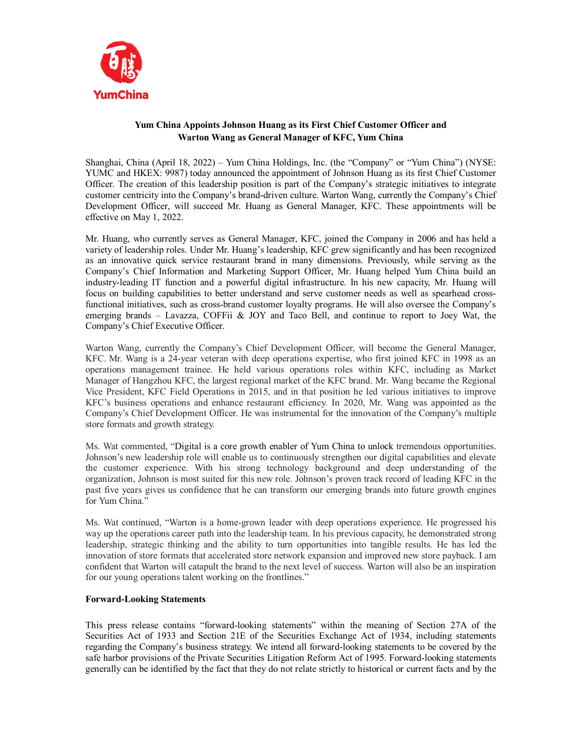

## **Yum China Appoints Johnson Huang as its First Chief Customer Officer and Warton Wang as General Manager of KFC, Yum China**

Shanghai, China (April 18, 2022) – Yum China Holdings, Inc. (the "Company" or "Yum China") (NYSE: YUMC and HKEX: 9987) today announced the appointment of Johnson Huang as its first Chief Customer Officer. The creation of this leadership position is part of the Company's strategic initiatives to integrate customer centricity into the Company's brand-driven culture. Warton Wang, currently the Company's Chief Development Officer, will succeed Mr. Huang as General Manager, KFC. These appointments will be effective on May 1, 2022.

Mr. Huang, who currently serves as General Manager, KFC, joined the Company in 2006 and has held a variety of leadership roles. Under Mr. Huang's leadership, KFC grew significantly and has been recognized as an innovative quick service restaurant brand in many dimensions. Previously, while serving as the Company's Chief Information and Marketing Support Officer, Mr. Huang helped Yum China build an industry-leading IT function and a powerful digital infrastructure. In his new capacity, Mr. Huang will focus on building capabilities to better understand and serve customer needs as well as spearhead crossfunctional initiatives, such as cross-brand customer loyalty programs. He will also oversee the Company's emerging brands – Lavazza, COFFii & JOY and Taco Bell, and continue to report to Joey Wat, the Company's Chief Executive Officer.

Warton Wang, currently the Company's Chief Development Officer, will become the General Manager, KFC. Mr. Wang is a 24-year veteran with deep operations expertise, who first joined KFC in 1998 as an operations management trainee. He held various operations roles within KFC, including as Market Manager of Hangzhou KFC, the largest regional market of the KFC brand. Mr. Wang became the Regional Vice President, KFC Field Operations in 2015, and in that position he led various initiatives to improve KFC's business operations and enhance restaurant efficiency. In 2020, Mr. Wang was appointed as the Company's Chief Development Officer. He was instrumental for the innovation of the Company's multiple store formats and growth strategy.

Ms. Wat commented, "Digital is a core growth enabler of Yum China to unlock tremendous opportunities. Johnson's new leadership role will enable us to continuously strengthen our digital capabilities and elevate the customer experience. With his strong technology background and deep understanding of the organization, Johnson is most suited for this new role. Johnson's proven track record of leading KFC in the past five years gives us confidence that he can transform our emerging brands into future growth engines for Yum China."

Ms. Wat continued, "Warton is a home-grown leader with deep operations experience. He progressed his way up the operations career path into the leadership team. In his previous capacity, he demonstrated strong leadership, strategic thinking and the ability to turn opportunities into tangible results. He has led the innovation of store formats that accelerated store network expansion and improved new store payback. I am confident that Warton will catapult the brand to the next level of success. Warton will also be an inspiration for our young operations talent working on the frontlines."

## **Forward-Looking Statements**

This press release contains "forward-looking statements" within the meaning of Section 27A of the Securities Act of 1933 and Section 21E of the Securities Exchange Act of 1934, including statements regarding the Company's business strategy. We intend all forward-looking statements to be covered by the safe harbor provisions of the Private Securities Litigation Reform Act of 1995. Forward-looking statements generally can be identified by the fact that they do not relate strictly to historical or current facts and by the